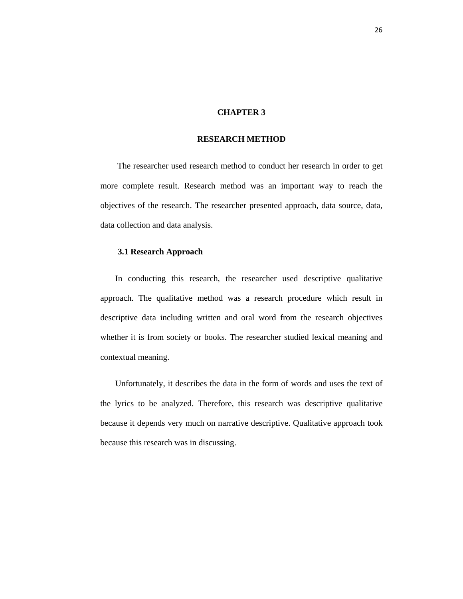# **CHAPTER 3**

## **RESEARCH METHOD**

 The researcher used research method to conduct her research in order to get more complete result. Research method was an important way to reach the objectives of the research. The researcher presented approach, data source, data, data collection and data analysis.

#### **3.1 Research Approach**

 In conducting this research, the researcher used descriptive qualitative approach. The qualitative method was a research procedure which result in descriptive data including written and oral word from the research objectives whether it is from society or books. The researcher studied lexical meaning and contextual meaning.

 Unfortunately, it describes the data in the form of words and uses the text of the lyrics to be analyzed. Therefore, this research was descriptive qualitative because it depends very much on narrative descriptive. Qualitative approach took because this research was in discussing.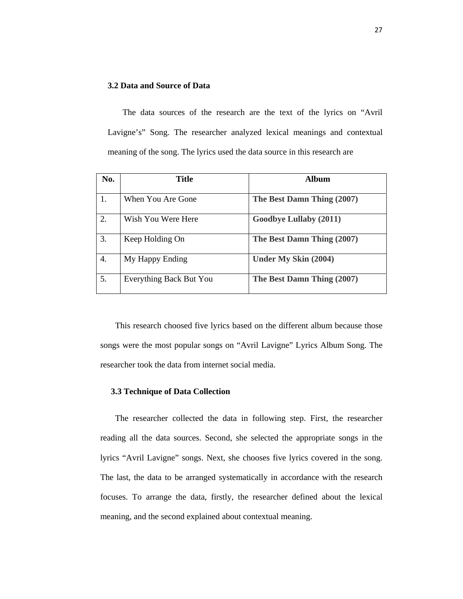## **3.2 Data and Source of Data**

 The data sources of the research are the text of the lyrics on "Avril Lavigne's" Song. The researcher analyzed lexical meanings and contextual meaning of the song. The lyrics used the data source in this research are

| No. | Title                   | <b>Album</b>                  |
|-----|-------------------------|-------------------------------|
|     | When You Are Gone       | The Best Damn Thing (2007)    |
| 2.  | Wish You Were Here      | <b>Goodbye Lullaby (2011)</b> |
| 3.  | Keep Holding On         | The Best Damn Thing (2007)    |
| 4.  | My Happy Ending         | <b>Under My Skin (2004)</b>   |
| 5.  | Everything Back But You | The Best Damn Thing (2007)    |

 This research choosed five lyrics based on the different album because those songs were the most popular songs on "Avril Lavigne" Lyrics Album Song. The researcher took the data from internet social media.

#### **3.3 Technique of Data Collection**

 The researcher collected the data in following step. First, the researcher reading all the data sources. Second, she selected the appropriate songs in the lyrics "Avril Lavigne" songs. Next, she chooses five lyrics covered in the song. The last, the data to be arranged systematically in accordance with the research focuses. To arrange the data, firstly, the researcher defined about the lexical meaning, and the second explained about contextual meaning.